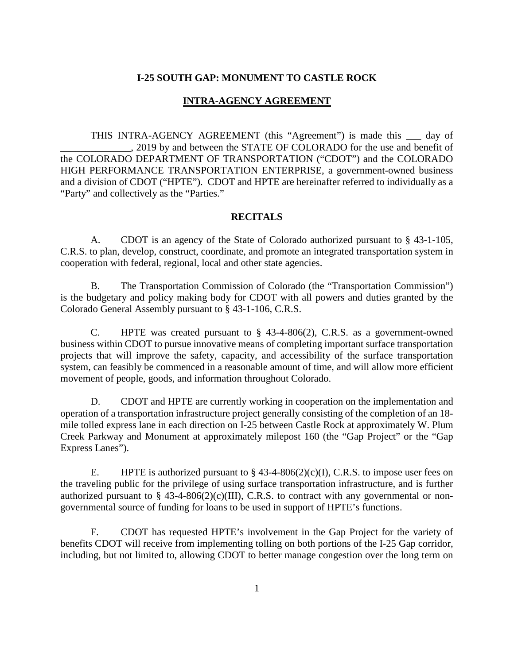#### **I-25 SOUTH GAP: MONUMENT TO CASTLE ROCK**

### **INTRA-AGENCY AGREEMENT**

THIS INTRA-AGENCY AGREEMENT (this "Agreement") is made this \_\_\_ day of \_\_\_\_\_\_\_\_\_\_\_\_\_\_, 2019 by and between the STATE OF COLORADO for the use and benefit of the COLORADO DEPARTMENT OF TRANSPORTATION ("CDOT") and the COLORADO HIGH PERFORMANCE TRANSPORTATION ENTERPRISE, a government-owned business and a division of CDOT ("HPTE"). CDOT and HPTE are hereinafter referred to individually as a "Party" and collectively as the "Parties."

#### **RECITALS**

A. CDOT is an agency of the State of Colorado authorized pursuant to § 43-1-105, C.R.S. to plan, develop, construct, coordinate, and promote an integrated transportation system in cooperation with federal, regional, local and other state agencies.

B. The Transportation Commission of Colorado (the "Transportation Commission") is the budgetary and policy making body for CDOT with all powers and duties granted by the Colorado General Assembly pursuant to § 43-1-106, C.R.S.

C. HPTE was created pursuant to  $\S$  43-4-806(2), C.R.S. as a government-owned business within CDOT to pursue innovative means of completing important surface transportation projects that will improve the safety, capacity, and accessibility of the surface transportation system, can feasibly be commenced in a reasonable amount of time, and will allow more efficient movement of people, goods, and information throughout Colorado.

D. CDOT and HPTE are currently working in cooperation on the implementation and operation of a transportation infrastructure project generally consisting of the completion of an 18 mile tolled express lane in each direction on I-25 between Castle Rock at approximately W. Plum Creek Parkway and Monument at approximately milepost 160 (the "Gap Project" or the "Gap Express Lanes").

E. HPTE is authorized pursuant to  $\S$  43-4-806(2)(c)(I), C.R.S. to impose user fees on the traveling public for the privilege of using surface transportation infrastructure, and is further authorized pursuant to  $\S$  43-4-806(2)(c)(III), C.R.S. to contract with any governmental or nongovernmental source of funding for loans to be used in support of HPTE's functions.

F. CDOT has requested HPTE's involvement in the Gap Project for the variety of benefits CDOT will receive from implementing tolling on both portions of the I-25 Gap corridor, including, but not limited to, allowing CDOT to better manage congestion over the long term on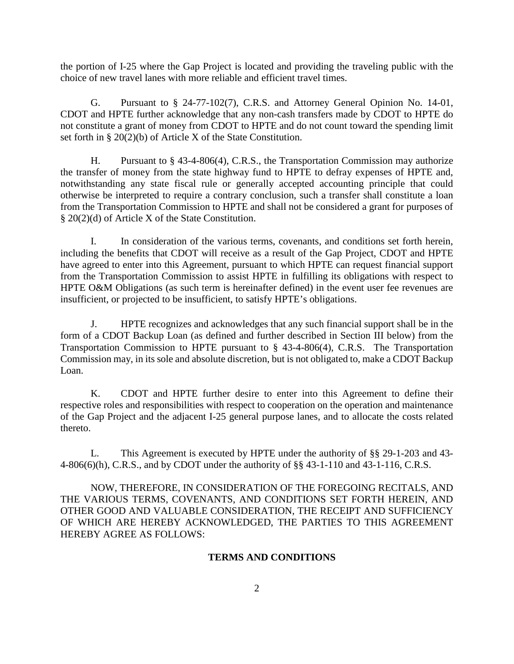the portion of I-25 where the Gap Project is located and providing the traveling public with the choice of new travel lanes with more reliable and efficient travel times.

G. Pursuant to § 24-77-102(7), C.R.S. and Attorney General Opinion No. 14-01, CDOT and HPTE further acknowledge that any non-cash transfers made by CDOT to HPTE do not constitute a grant of money from CDOT to HPTE and do not count toward the spending limit set forth in § 20(2)(b) of Article X of the State Constitution.

H. Pursuant to § 43-4-806(4), C.R.S., the Transportation Commission may authorize the transfer of money from the state highway fund to HPTE to defray expenses of HPTE and, notwithstanding any state fiscal rule or generally accepted accounting principle that could otherwise be interpreted to require a contrary conclusion, such a transfer shall constitute a loan from the Transportation Commission to HPTE and shall not be considered a grant for purposes of § 20(2)(d) of Article X of the State Constitution.

I. In consideration of the various terms, covenants, and conditions set forth herein, including the benefits that CDOT will receive as a result of the Gap Project, CDOT and HPTE have agreed to enter into this Agreement, pursuant to which HPTE can request financial support from the Transportation Commission to assist HPTE in fulfilling its obligations with respect to HPTE O&M Obligations (as such term is hereinafter defined) in the event user fee revenues are insufficient, or projected to be insufficient, to satisfy HPTE's obligations.

J. HPTE recognizes and acknowledges that any such financial support shall be in the form of a CDOT Backup Loan (as defined and further described in Section III below) from the Transportation Commission to HPTE pursuant to § 43-4-806(4), C.R.S. The Transportation Commission may, in its sole and absolute discretion, but is not obligated to, make a CDOT Backup Loan.

K. CDOT and HPTE further desire to enter into this Agreement to define their respective roles and responsibilities with respect to cooperation on the operation and maintenance of the Gap Project and the adjacent I-25 general purpose lanes, and to allocate the costs related thereto.

L. This Agreement is executed by HPTE under the authority of §§ 29-1-203 and 43- 4-806(6)(h), C.R.S., and by CDOT under the authority of §§ 43-1-110 and 43-1-116, C.R.S.

NOW, THEREFORE, IN CONSIDERATION OF THE FOREGOING RECITALS, AND THE VARIOUS TERMS, COVENANTS, AND CONDITIONS SET FORTH HEREIN, AND OTHER GOOD AND VALUABLE CONSIDERATION, THE RECEIPT AND SUFFICIENCY OF WHICH ARE HEREBY ACKNOWLEDGED, THE PARTIES TO THIS AGREEMENT HEREBY AGREE AS FOLLOWS:

## **TERMS AND CONDITIONS**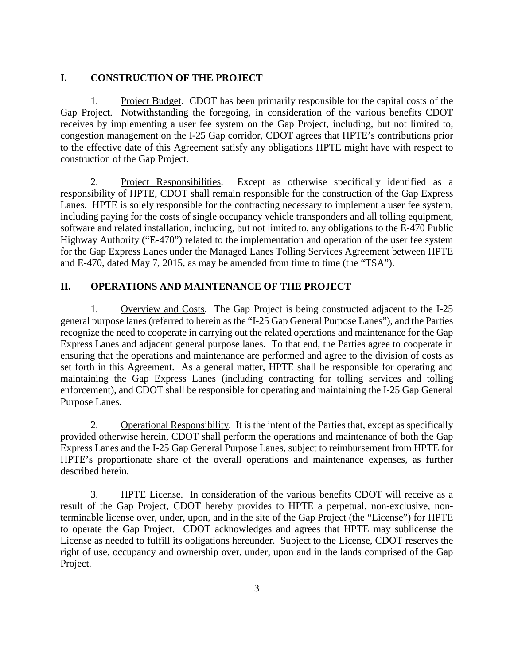## **I. CONSTRUCTION OF THE PROJECT**

1. Project Budget. CDOT has been primarily responsible for the capital costs of the Gap Project. Notwithstanding the foregoing, in consideration of the various benefits CDOT receives by implementing a user fee system on the Gap Project, including, but not limited to, congestion management on the I-25 Gap corridor, CDOT agrees that HPTE's contributions prior to the effective date of this Agreement satisfy any obligations HPTE might have with respect to construction of the Gap Project.

2. Project Responsibilities. Except as otherwise specifically identified as a responsibility of HPTE, CDOT shall remain responsible for the construction of the Gap Express Lanes. HPTE is solely responsible for the contracting necessary to implement a user fee system, including paying for the costs of single occupancy vehicle transponders and all tolling equipment, software and related installation, including, but not limited to, any obligations to the E-470 Public Highway Authority ("E-470") related to the implementation and operation of the user fee system for the Gap Express Lanes under the Managed Lanes Tolling Services Agreement between HPTE and E-470, dated May 7, 2015, as may be amended from time to time (the "TSA").

# **II. OPERATIONS AND MAINTENANCE OF THE PROJECT**

1. Overview and Costs. The Gap Project is being constructed adjacent to the I-25 general purpose lanes (referred to herein as the "I-25 Gap General Purpose Lanes"), and the Parties recognize the need to cooperate in carrying out the related operations and maintenance for the Gap Express Lanes and adjacent general purpose lanes. To that end, the Parties agree to cooperate in ensuring that the operations and maintenance are performed and agree to the division of costs as set forth in this Agreement. As a general matter, HPTE shall be responsible for operating and maintaining the Gap Express Lanes (including contracting for tolling services and tolling enforcement), and CDOT shall be responsible for operating and maintaining the I-25 Gap General Purpose Lanes.

2. Operational Responsibility. It is the intent of the Parties that, except as specifically provided otherwise herein, CDOT shall perform the operations and maintenance of both the Gap Express Lanes and the I-25 Gap General Purpose Lanes, subject to reimbursement from HPTE for HPTE's proportionate share of the overall operations and maintenance expenses, as further described herein.

3. HPTE License. In consideration of the various benefits CDOT will receive as a result of the Gap Project, CDOT hereby provides to HPTE a perpetual, non-exclusive, nonterminable license over, under, upon, and in the site of the Gap Project (the "License") for HPTE to operate the Gap Project. CDOT acknowledges and agrees that HPTE may sublicense the License as needed to fulfill its obligations hereunder. Subject to the License, CDOT reserves the right of use, occupancy and ownership over, under, upon and in the lands comprised of the Gap Project.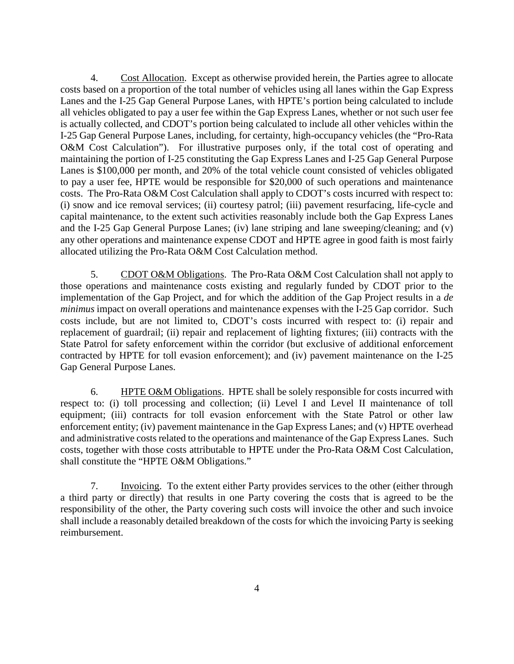4. Cost Allocation. Except as otherwise provided herein, the Parties agree to allocate costs based on a proportion of the total number of vehicles using all lanes within the Gap Express Lanes and the I-25 Gap General Purpose Lanes, with HPTE's portion being calculated to include all vehicles obligated to pay a user fee within the Gap Express Lanes, whether or not such user fee is actually collected, and CDOT's portion being calculated to include all other vehicles within the I-25 Gap General Purpose Lanes, including, for certainty, high-occupancy vehicles (the "Pro-Rata O&M Cost Calculation"). For illustrative purposes only, if the total cost of operating and maintaining the portion of I-25 constituting the Gap Express Lanes and I-25 Gap General Purpose Lanes is \$100,000 per month, and 20% of the total vehicle count consisted of vehicles obligated to pay a user fee, HPTE would be responsible for \$20,000 of such operations and maintenance costs. The Pro-Rata O&M Cost Calculation shall apply to CDOT's costs incurred with respect to: (i) snow and ice removal services; (ii) courtesy patrol; (iii) pavement resurfacing, life-cycle and capital maintenance, to the extent such activities reasonably include both the Gap Express Lanes and the I-25 Gap General Purpose Lanes; (iv) lane striping and lane sweeping/cleaning; and (v) any other operations and maintenance expense CDOT and HPTE agree in good faith is most fairly allocated utilizing the Pro-Rata O&M Cost Calculation method.

5. CDOT O&M Obligations. The Pro-Rata O&M Cost Calculation shall not apply to those operations and maintenance costs existing and regularly funded by CDOT prior to the implementation of the Gap Project, and for which the addition of the Gap Project results in a *de minimus* impact on overall operations and maintenance expenses with the I-25 Gap corridor. Such costs include, but are not limited to, CDOT's costs incurred with respect to: (i) repair and replacement of guardrail; (ii) repair and replacement of lighting fixtures; (iii) contracts with the State Patrol for safety enforcement within the corridor (but exclusive of additional enforcement contracted by HPTE for toll evasion enforcement); and (iv) pavement maintenance on the I-25 Gap General Purpose Lanes.

6. HPTE O&M Obligations. HPTE shall be solely responsible for costs incurred with respect to: (i) toll processing and collection; (ii) Level I and Level II maintenance of toll equipment; (iii) contracts for toll evasion enforcement with the State Patrol or other law enforcement entity; (iv) pavement maintenance in the Gap Express Lanes; and (v) HPTE overhead and administrative costs related to the operations and maintenance of the Gap Express Lanes. Such costs, together with those costs attributable to HPTE under the Pro-Rata O&M Cost Calculation, shall constitute the "HPTE O&M Obligations."

7. Invoicing. To the extent either Party provides services to the other (either through a third party or directly) that results in one Party covering the costs that is agreed to be the responsibility of the other, the Party covering such costs will invoice the other and such invoice shall include a reasonably detailed breakdown of the costs for which the invoicing Party is seeking reimbursement.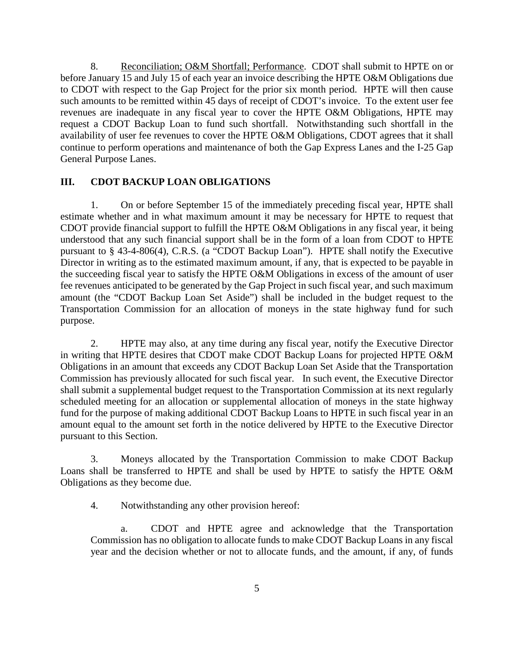8. Reconciliation; O&M Shortfall; Performance. CDOT shall submit to HPTE on or before January 15 and July 15 of each year an invoice describing the HPTE O&M Obligations due to CDOT with respect to the Gap Project for the prior six month period. HPTE will then cause such amounts to be remitted within 45 days of receipt of CDOT's invoice. To the extent user fee revenues are inadequate in any fiscal year to cover the HPTE O&M Obligations, HPTE may request a CDOT Backup Loan to fund such shortfall. Notwithstanding such shortfall in the availability of user fee revenues to cover the HPTE O&M Obligations, CDOT agrees that it shall continue to perform operations and maintenance of both the Gap Express Lanes and the I-25 Gap General Purpose Lanes.

### **III. CDOT BACKUP LOAN OBLIGATIONS**

1. On or before September 15 of the immediately preceding fiscal year, HPTE shall estimate whether and in what maximum amount it may be necessary for HPTE to request that CDOT provide financial support to fulfill the HPTE O&M Obligations in any fiscal year, it being understood that any such financial support shall be in the form of a loan from CDOT to HPTE pursuant to § 43-4-806(4), C.R.S. (a "CDOT Backup Loan"). HPTE shall notify the Executive Director in writing as to the estimated maximum amount, if any, that is expected to be payable in the succeeding fiscal year to satisfy the HPTE O&M Obligations in excess of the amount of user fee revenues anticipated to be generated by the Gap Project in such fiscal year, and such maximum amount (the "CDOT Backup Loan Set Aside") shall be included in the budget request to the Transportation Commission for an allocation of moneys in the state highway fund for such purpose.

2. HPTE may also, at any time during any fiscal year, notify the Executive Director in writing that HPTE desires that CDOT make CDOT Backup Loans for projected HPTE O&M Obligations in an amount that exceeds any CDOT Backup Loan Set Aside that the Transportation Commission has previously allocated for such fiscal year. In such event, the Executive Director shall submit a supplemental budget request to the Transportation Commission at its next regularly scheduled meeting for an allocation or supplemental allocation of moneys in the state highway fund for the purpose of making additional CDOT Backup Loans to HPTE in such fiscal year in an amount equal to the amount set forth in the notice delivered by HPTE to the Executive Director pursuant to this Section.

3. Moneys allocated by the Transportation Commission to make CDOT Backup Loans shall be transferred to HPTE and shall be used by HPTE to satisfy the HPTE O&M Obligations as they become due.

4. Notwithstanding any other provision hereof:

CDOT and HPTE agree and acknowledge that the Transportation Commission has no obligation to allocate funds to make CDOT Backup Loans in any fiscal year and the decision whether or not to allocate funds, and the amount, if any, of funds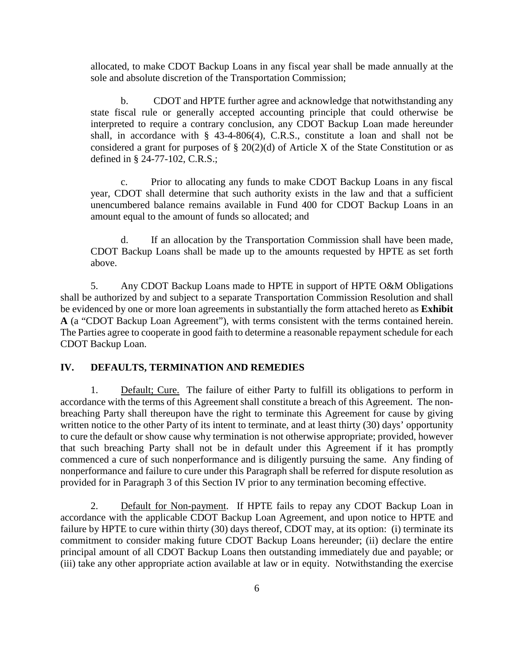allocated, to make CDOT Backup Loans in any fiscal year shall be made annually at the sole and absolute discretion of the Transportation Commission;

b. CDOT and HPTE further agree and acknowledge that notwithstanding any state fiscal rule or generally accepted accounting principle that could otherwise be interpreted to require a contrary conclusion, any CDOT Backup Loan made hereunder shall, in accordance with § 43-4-806(4), C.R.S., constitute a loan and shall not be considered a grant for purposes of § 20(2)(d) of Article X of the State Constitution or as defined in § 24-77-102, C.R.S.;

c. Prior to allocating any funds to make CDOT Backup Loans in any fiscal year, CDOT shall determine that such authority exists in the law and that a sufficient unencumbered balance remains available in Fund 400 for CDOT Backup Loans in an amount equal to the amount of funds so allocated; and

d. If an allocation by the Transportation Commission shall have been made, CDOT Backup Loans shall be made up to the amounts requested by HPTE as set forth above.

5. Any CDOT Backup Loans made to HPTE in support of HPTE O&M Obligations shall be authorized by and subject to a separate Transportation Commission Resolution and shall be evidenced by one or more loan agreements in substantially the form attached hereto as **Exhibit A** (a "CDOT Backup Loan Agreement"), with terms consistent with the terms contained herein. The Parties agree to cooperate in good faith to determine a reasonable repayment schedule for each CDOT Backup Loan.

### **IV. DEFAULTS, TERMINATION AND REMEDIES**

1. Default; Cure. The failure of either Party to fulfill its obligations to perform in accordance with the terms of this Agreement shall constitute a breach of this Agreement. The nonbreaching Party shall thereupon have the right to terminate this Agreement for cause by giving written notice to the other Party of its intent to terminate, and at least thirty (30) days' opportunity to cure the default or show cause why termination is not otherwise appropriate; provided, however that such breaching Party shall not be in default under this Agreement if it has promptly commenced a cure of such nonperformance and is diligently pursuing the same. Any finding of nonperformance and failure to cure under this Paragraph shall be referred for dispute resolution as provided for in Paragraph 3 of this Section IV prior to any termination becoming effective.

2. Default for Non-payment. If HPTE fails to repay any CDOT Backup Loan in accordance with the applicable CDOT Backup Loan Agreement, and upon notice to HPTE and failure by HPTE to cure within thirty (30) days thereof, CDOT may, at its option: (i) terminate its commitment to consider making future CDOT Backup Loans hereunder; (ii) declare the entire principal amount of all CDOT Backup Loans then outstanding immediately due and payable; or (iii) take any other appropriate action available at law or in equity. Notwithstanding the exercise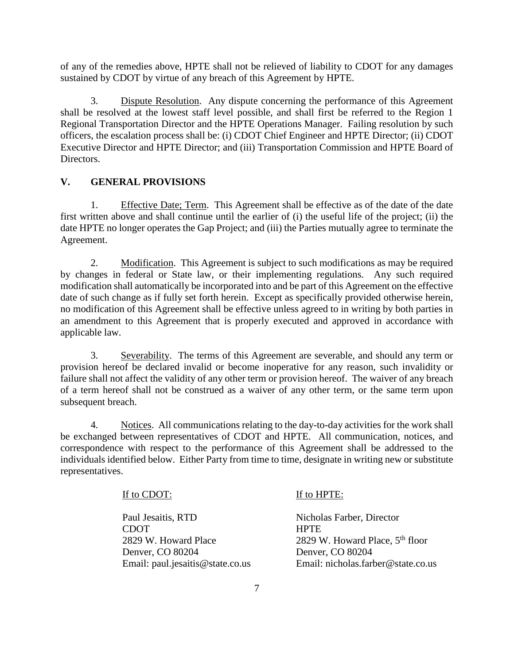of any of the remedies above, HPTE shall not be relieved of liability to CDOT for any damages sustained by CDOT by virtue of any breach of this Agreement by HPTE.

3. Dispute Resolution. Any dispute concerning the performance of this Agreement shall be resolved at the lowest staff level possible, and shall first be referred to the Region 1 Regional Transportation Director and the HPTE Operations Manager. Failing resolution by such officers, the escalation process shall be: (i) CDOT Chief Engineer and HPTE Director; (ii) CDOT Executive Director and HPTE Director; and (iii) Transportation Commission and HPTE Board of Directors.

## **V. GENERAL PROVISIONS**

1. Effective Date; Term. This Agreement shall be effective as of the date of the date first written above and shall continue until the earlier of (i) the useful life of the project; (ii) the date HPTE no longer operates the Gap Project; and (iii) the Parties mutually agree to terminate the Agreement.

2. Modification. This Agreement is subject to such modifications as may be required by changes in federal or State law, or their implementing regulations. Any such required modification shall automatically be incorporated into and be part of this Agreement on the effective date of such change as if fully set forth herein. Except as specifically provided otherwise herein, no modification of this Agreement shall be effective unless agreed to in writing by both parties in an amendment to this Agreement that is properly executed and approved in accordance with applicable law.

3. Severability. The terms of this Agreement are severable, and should any term or provision hereof be declared invalid or become inoperative for any reason, such invalidity or failure shall not affect the validity of any other term or provision hereof. The waiver of any breach of a term hereof shall not be construed as a waiver of any other term, or the same term upon subsequent breach.

4. Notices. All communications relating to the day-to-day activities for the work shall be exchanged between representatives of CDOT and HPTE. All communication, notices, and correspondence with respect to the performance of this Agreement shall be addressed to the individuals identified below. Either Party from time to time, designate in writing new or substitute representatives.

## If to CDOT:

Paul Jesaitis, RTD CDOT 2829 W. Howard Place Denver, CO 80204 Email: paul.jesaitis@state.co.us

## If to HPTE:

Nicholas Farber, Director **HPTE** 2829 W. Howard Place,  $5<sup>th</sup>$  floor Denver, CO 80204 Email: nicholas.farber@state.co.us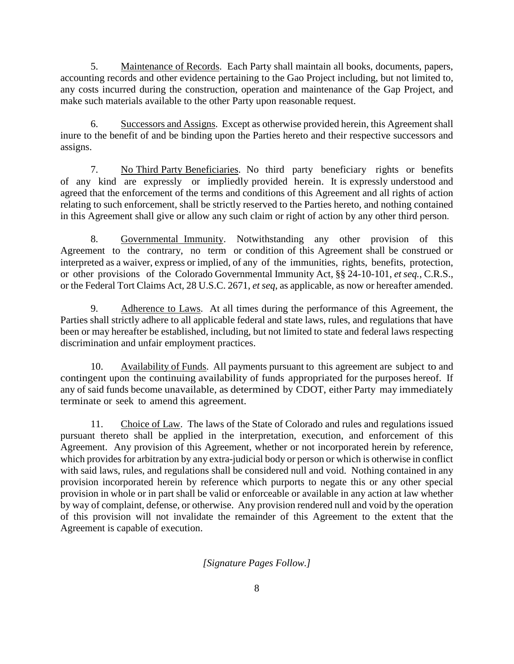5. Maintenance of Records. Each Party shall maintain all books, documents, papers, accounting records and other evidence pertaining to the Gao Project including, but not limited to, any costs incurred during the construction, operation and maintenance of the Gap Project, and make such materials available to the other Party upon reasonable request.

6. Successors and Assigns. Except as otherwise provided herein, this Agreement shall inure to the benefit of and be binding upon the Parties hereto and their respective successors and assigns.

7. No Third Party Beneficiaries. No third party beneficiary rights or benefits of any kind are expressly or impliedly provided herein. It is expressly understood and agreed that the enforcement of the terms and conditions of this Agreement and all rights of action relating to such enforcement, shall be strictly reserved to the Parties hereto, and nothing contained in this Agreement shall give or allow any such claim or right of action by any other third person.

8. Governmental Immunity. Notwithstanding any other provision of this Agreement to the contrary, no term or condition of this Agreement shall be construed or interpreted as a waiver, express or implied, of any of the immunities, rights, benefits, protection, or other provisions of the Colorado Governmental Immunity Act, §§ 24-10-101, *et seq.*, C.R.S., or the Federal Tort Claims Act, 28 U.S.C. 2671, *et seq*, as applicable, as now or hereafter amended.

9. Adherence to Laws. At all times during the performance of this Agreement, the Parties shall strictly adhere to all applicable federal and state laws, rules, and regulations that have been or may hereafter be established, including, but not limited to state and federal laws respecting discrimination and unfair employment practices.

10. Availability of Funds. All payments pursuant to this agreement are subject to and contingent upon the continuing availability of funds appropriated for the purposes hereof. If any of said funds become unavailable, as determined by CDOT, either Party may immediately terminate or seek to amend this agreement.

11. Choice of Law. The laws of the State of Colorado and rules and regulations issued pursuant thereto shall be applied in the interpretation, execution, and enforcement of this Agreement. Any provision of this Agreement, whether or not incorporated herein by reference, which provides for arbitration by any extra-judicial body or person or which is otherwise in conflict with said laws, rules, and regulations shall be considered null and void. Nothing contained in any provision incorporated herein by reference which purports to negate this or any other special provision in whole or in part shall be valid or enforceable or available in any action at law whether by way of complaint, defense, or otherwise. Any provision rendered null and void by the operation of this provision will not invalidate the remainder of this Agreement to the extent that the Agreement is capable of execution.

*[Signature Pages Follow.]*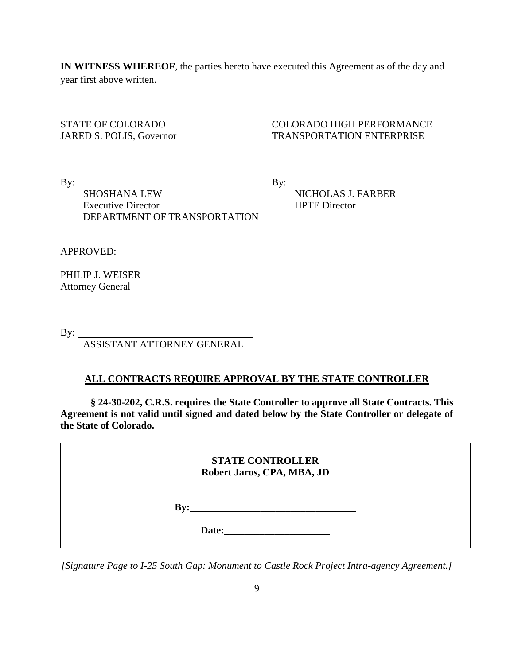**IN WITNESS WHEREOF**, the parties hereto have executed this Agreement as of the day and year first above written.

STATE OF COLORADO COLORADO HIGH PERFORMANCE JARED S. POLIS, Governor TRANSPORTATION ENTERPRISE

By: By:

SHOSHANA LEW By: NICHOLAS J. FARBER Executive Director **HPTE** Director

APPROVED:

PHILIP J. WEISER Attorney General

By:  $\_\_$ 

ASSISTANT ATTORNEY GENERAL

DEPARTMENT OF TRANSPORTATION

#### **ALL CONTRACTS REQUIRE APPROVAL BY THE STATE CONTROLLER**

**§ 24-30-202, C.R.S. requires the State Controller to approve all State Contracts. This Agreement is not valid until signed and dated below by the State Controller or delegate of the State of Colorado.**

> **STATE CONTROLLER Robert Jaros, CPA, MBA, JD**

**By:\_\_\_\_\_\_\_\_\_\_\_\_\_\_\_\_\_\_\_\_\_\_\_\_\_\_\_\_\_\_\_\_\_**

**Date:** 

*[Signature Page to I-25 South Gap: Monument to Castle Rock Project Intra-agency Agreement.]*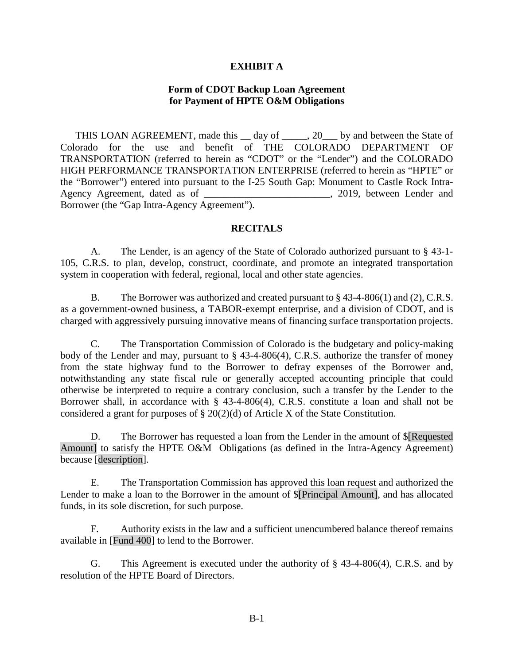### **EXHIBIT A**

### **Form of CDOT Backup Loan Agreement for Payment of HPTE O&M Obligations**

THIS LOAN AGREEMENT, made this \_\_ day of \_\_\_\_\_, 20\_\_\_ by and between the State of Colorado for the use and benefit of THE COLORADO DEPARTMENT OF TRANSPORTATION (referred to herein as "CDOT" or the "Lender") and the COLORADO HIGH PERFORMANCE TRANSPORTATION ENTERPRISE (referred to herein as "HPTE" or the "Borrower") entered into pursuant to the I-25 South Gap: Monument to Castle Rock Intra-Agency Agreement, dated as of \_\_\_\_\_\_\_\_\_\_\_\_\_\_\_\_\_\_\_\_\_\_\_\_\_, 2019, between Lender and Borrower (the "Gap Intra-Agency Agreement").

### **RECITALS**

A. The Lender, is an agency of the State of Colorado authorized pursuant to § 43-1- 105, C.R.S. to plan, develop, construct, coordinate, and promote an integrated transportation system in cooperation with federal, regional, local and other state agencies.

B. The Borrower was authorized and created pursuant to § 43-4-806(1) and (2), C.R.S. as a government-owned business, a TABOR-exempt enterprise, and a division of CDOT, and is charged with aggressively pursuing innovative means of financing surface transportation projects.

C. The Transportation Commission of Colorado is the budgetary and policy-making body of the Lender and may, pursuant to § 43-4-806(4), C.R.S. authorize the transfer of money from the state highway fund to the Borrower to defray expenses of the Borrower and, notwithstanding any state fiscal rule or generally accepted accounting principle that could otherwise be interpreted to require a contrary conclusion, such a transfer by the Lender to the Borrower shall, in accordance with § 43-4-806(4), C.R.S. constitute a loan and shall not be considered a grant for purposes of § 20(2)(d) of Article X of the State Constitution.

D. The Borrower has requested a loan from the Lender in the amount of \$[Requested Amount] to satisfy the HPTE O&M Obligations (as defined in the Intra-Agency Agreement) because [description].

E. The Transportation Commission has approved this loan request and authorized the Lender to make a loan to the Borrower in the amount of \$[Principal Amount], and has allocated funds, in its sole discretion, for such purpose.

F. Authority exists in the law and a sufficient unencumbered balance thereof remains available in [Fund 400] to lend to the Borrower.

G. This Agreement is executed under the authority of § 43-4-806(4), C.R.S. and by resolution of the HPTE Board of Directors.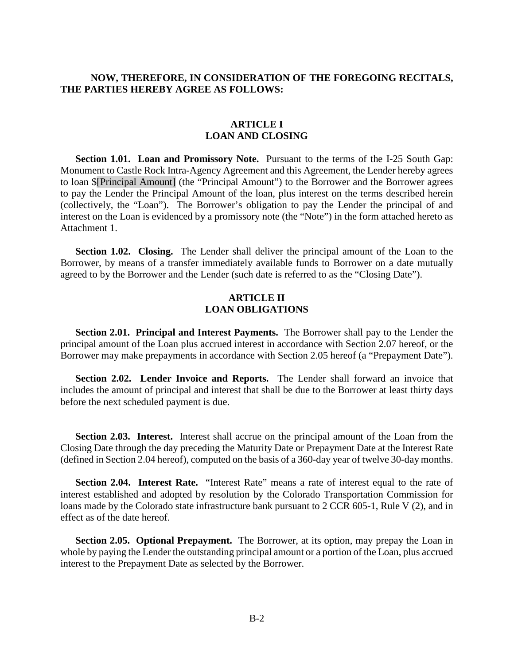### **NOW, THEREFORE, IN CONSIDERATION OF THE FOREGOING RECITALS, THE PARTIES HEREBY AGREE AS FOLLOWS:**

### **ARTICLE I LOAN AND CLOSING**

**Section 1.01. Loan and Promissory Note.** Pursuant to the terms of the I-25 South Gap: Monument to Castle Rock Intra-Agency Agreement and this Agreement, the Lender hereby agrees to loan \$[Principal Amount] (the "Principal Amount") to the Borrower and the Borrower agrees to pay the Lender the Principal Amount of the loan, plus interest on the terms described herein (collectively, the "Loan"). The Borrower's obligation to pay the Lender the principal of and interest on the Loan is evidenced by a promissory note (the "Note") in the form attached hereto as Attachment 1.

**Section 1.02. Closing.** The Lender shall deliver the principal amount of the Loan to the Borrower, by means of a transfer immediately available funds to Borrower on a date mutually agreed to by the Borrower and the Lender (such date is referred to as the "Closing Date").

### **ARTICLE II LOAN OBLIGATIONS**

**Section 2.01. Principal and Interest Payments.** The Borrower shall pay to the Lender the principal amount of the Loan plus accrued interest in accordance with Section 2.07 hereof, or the Borrower may make prepayments in accordance with Section 2.05 hereof (a "Prepayment Date").

**Section 2.02. Lender Invoice and Reports.** The Lender shall forward an invoice that includes the amount of principal and interest that shall be due to the Borrower at least thirty days before the next scheduled payment is due.

**Section 2.03. Interest.** Interest shall accrue on the principal amount of the Loan from the Closing Date through the day preceding the Maturity Date or Prepayment Date at the Interest Rate (defined in Section 2.04 hereof), computed on the basis of a 360-day year of twelve 30-day months.

**Section 2.04. Interest Rate.** "Interest Rate" means a rate of interest equal to the rate of interest established and adopted by resolution by the Colorado Transportation Commission for loans made by the Colorado state infrastructure bank pursuant to 2 CCR 605-1, Rule V (2), and in effect as of the date hereof.

**Section 2.05. Optional Prepayment.** The Borrower, at its option, may prepay the Loan in whole by paying the Lender the outstanding principal amount or a portion of the Loan, plus accrued interest to the Prepayment Date as selected by the Borrower.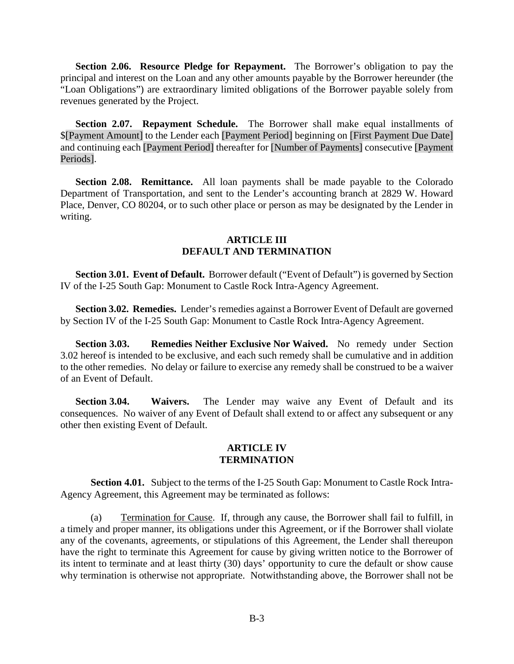**Section 2.06. Resource Pledge for Repayment.** The Borrower's obligation to pay the principal and interest on the Loan and any other amounts payable by the Borrower hereunder (the "Loan Obligations") are extraordinary limited obligations of the Borrower payable solely from revenues generated by the Project.

**Section 2.07. Repayment Schedule.** The Borrower shall make equal installments of \$[Payment Amount] to the Lender each [Payment Period] beginning on [First Payment Due Date] and continuing each [Payment Period] thereafter for [Number of Payments] consecutive [Payment Periods].

**Section 2.08. Remittance.** All loan payments shall be made payable to the Colorado Department of Transportation, and sent to the Lender's accounting branch at 2829 W. Howard Place, Denver, CO 80204, or to such other place or person as may be designated by the Lender in writing.

### **ARTICLE III DEFAULT AND TERMINATION**

**Section 3.01. Event of Default.** Borrower default ("Event of Default") is governed by Section IV of the I-25 South Gap: Monument to Castle Rock Intra-Agency Agreement.

**Section 3.02. Remedies.** Lender's remedies against a Borrower Event of Default are governed by Section IV of the I-25 South Gap: Monument to Castle Rock Intra-Agency Agreement.

**Section 3.03. Remedies Neither Exclusive Nor Waived.** No remedy under Section 3.02 hereof is intended to be exclusive, and each such remedy shall be cumulative and in addition to the other remedies. No delay or failure to exercise any remedy shall be construed to be a waiver of an Event of Default.

**Section 3.04. Waivers.** The Lender may waive any Event of Default and its consequences. No waiver of any Event of Default shall extend to or affect any subsequent or any other then existing Event of Default.

#### **ARTICLE IV TERMINATION**

**Section 4.01.** Subject to the terms of the I-25 South Gap: Monument to Castle Rock Intra-Agency Agreement, this Agreement may be terminated as follows:

(a) Termination for Cause. If, through any cause, the Borrower shall fail to fulfill, in a timely and proper manner, its obligations under this Agreement, or if the Borrower shall violate any of the covenants, agreements, or stipulations of this Agreement, the Lender shall thereupon have the right to terminate this Agreement for cause by giving written notice to the Borrower of its intent to terminate and at least thirty (30) days' opportunity to cure the default or show cause why termination is otherwise not appropriate. Notwithstanding above, the Borrower shall not be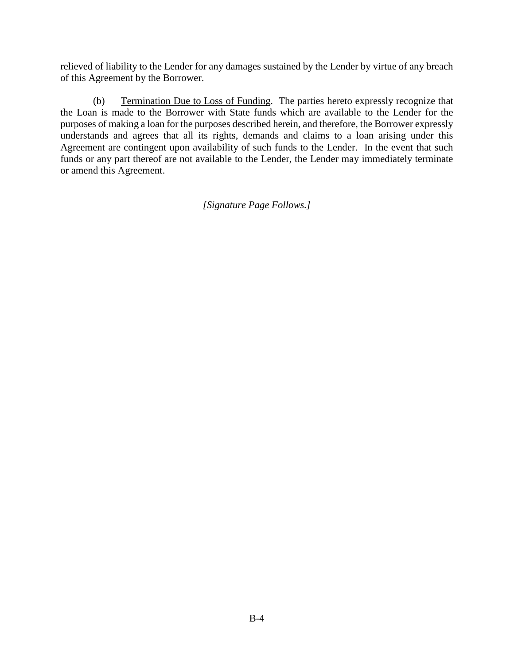relieved of liability to the Lender for any damages sustained by the Lender by virtue of any breach of this Agreement by the Borrower.

(b) Termination Due to Loss of Funding. The parties hereto expressly recognize that the Loan is made to the Borrower with State funds which are available to the Lender for the purposes of making a loan for the purposes described herein, and therefore, the Borrower expressly understands and agrees that all its rights, demands and claims to a loan arising under this Agreement are contingent upon availability of such funds to the Lender. In the event that such funds or any part thereof are not available to the Lender, the Lender may immediately terminate or amend this Agreement.

*[Signature Page Follows.]*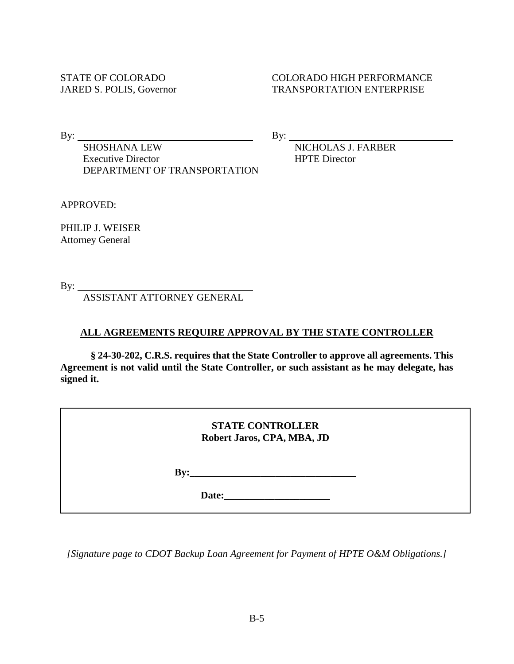### STATE OF COLORADO COLORADO HIGH PERFORMANCE JARED S. POLIS, Governor TRANSPORTATION ENTERPRISE

By:  $\frac{\text{By:}}{\text{SHOSHANA LEW}}$  By:  $\frac{\text{By:}}{\text{N}}$ Executive Director **HPTE** Director DEPARTMENT OF TRANSPORTATION

NICHOLAS J. FARBER

APPROVED:

PHILIP J. WEISER Attorney General

By:

ASSISTANT ATTORNEY GENERAL

# **ALL AGREEMENTS REQUIRE APPROVAL BY THE STATE CONTROLLER**

**§ 24-30-202, C.R.S. requires that the State Controller to approve all agreements. This Agreement is not valid until the State Controller, or such assistant as he may delegate, has signed it.** 

|                           | <b>STATE CONTROLLER</b><br>Robert Jaros, CPA, MBA, JD            |
|---------------------------|------------------------------------------------------------------|
| $\mathbf{B} \mathbf{v}$ : | <u> 1989 - Johann John Stone, Amerikaansk politiker (* 1908)</u> |
|                           | Date:<br><u> 1980 - Jan Stein Berlin, amerikansk politiker (</u> |

*[Signature page to CDOT Backup Loan Agreement for Payment of HPTE O&M Obligations.]*